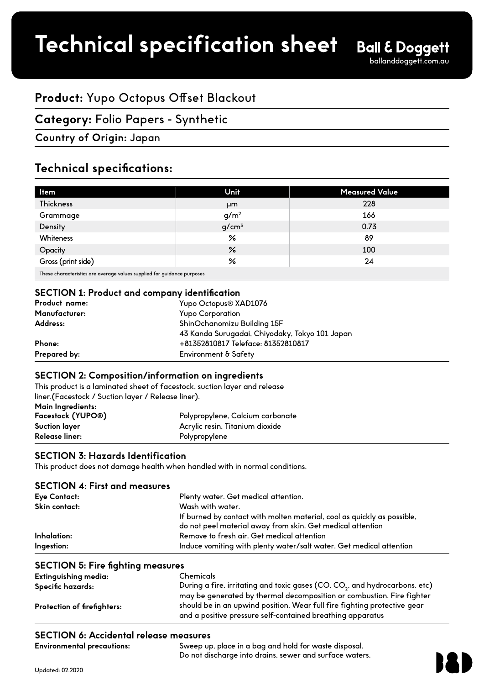# **Product:** Yupo Octopus Offset Blackout

# **Category:** Folio Papers - Synthetic

## **Country of Origin:** Japan

# **Technical specifications:**

| Unit             | <b>Measured Value</b> |
|------------------|-----------------------|
| μm               | 228                   |
| g/m <sup>2</sup> | 166                   |
| $g/cm^3$         | 0.73                  |
| $\frac{6}{5}$    | 89                    |
| $\%$             | 100                   |
| ℅                | 24                    |
|                  |                       |

These characteristics are average values supplied for guidance purposes

### **SECTION 1: Product and company identification**

| Yupo Octopus <sup>®</sup> XAD1076              |  |
|------------------------------------------------|--|
| <b>Yupo Corporation</b>                        |  |
| ShinOchanomizu Building 15F                    |  |
| 43 Kanda Surugadai, Chiyodaky, Tokyo 101 Japan |  |
| +81352810817 Teleface: 81352810817             |  |
| Environment & Safety                           |  |
|                                                |  |

#### **SECTION 2: Composition/**

|                                                    | This product is a laminated sheet of facestock, suction layer and release |
|----------------------------------------------------|---------------------------------------------------------------------------|
| liner.(Facestock / Suction layer / Release liner). |                                                                           |
| Main Ingredients:                                  |                                                                           |
| Facestock (YUPO®)                                  | Polypropylene, Calcium carbonate                                          |
| <b>Suction layer</b>                               | Acrylic resin, Titanium dioxide                                           |
| Release liner:                                     | Polypropylene                                                             |

### **SECTION 3: Hazards Identification**

This product does not damage health when handled with in normal conditions.

| <b>SECTION 4: First and measures</b> |                                                                                                                                       |
|--------------------------------------|---------------------------------------------------------------------------------------------------------------------------------------|
| Eye Contact:                         | Plenty water. Get medical attention.                                                                                                  |
| Skin contact:                        | Wash with water.                                                                                                                      |
|                                      | If burned by contact with molten material, cool as quickly as possible,<br>do not peel material away from skin. Get medical attention |
| Inhalation:                          | Remove to fresh air. Get medical attention                                                                                            |
| Ingestion:                           | Induce vomiting with plenty water/salt water. Get medical attention                                                                   |

### **SECTION 5: Fire fighting measures**

| Extinguishing media:        | <b>Chemicals</b>                                                                                                                                                                                                |
|-----------------------------|-----------------------------------------------------------------------------------------------------------------------------------------------------------------------------------------------------------------|
| Specific hazards:           | During a fire, irritating and toxic gases (CO, CO <sub>2</sub> , and hydrocarbons, etc)                                                                                                                         |
| Protection of firefighters: | may be generated by thermal decomposition or combustion. Fire fighter<br>should be in an upwind position. Wear full fire fighting protective gear<br>and a positive pressure self-contained breathing apparatus |
|                             |                                                                                                                                                                                                                 |

## **SECTION 6: Accidental release measures**

| <b>Environmental precautions:</b> | Sweep up, place in a bag and hold for waste disposal.   |
|-----------------------------------|---------------------------------------------------------|
|                                   | Do not discharge into drains, sewer and surface waters. |